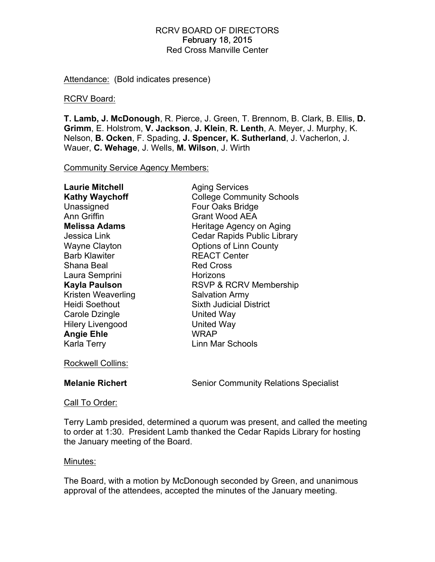# RCRV BOARD OF DIRECTORS February 18, 2015 Red Cross Manville Center

Attendance: (Bold indicates presence)

## RCRV Board:

**T. Lamb, J. McDonough**, R. Pierce, J. Green, T. Brennom, B. Clark, B. Ellis, **D. Grimm**, E. Holstrom, **V. Jackson**, **J. Klein**, **R. Lenth**, A. Meyer, J. Murphy, K. Nelson, **B. Ocken**, F. Spading, **J. Spencer, K. Sutherland**, J. Vacherlon, J. Wauer, **C. Wehage**, J. Wells, **M. Wilson**, J. Wirth

Community Service Agency Members:

| Laurie Mitchell         | <b>Aging Services</b>              |
|-------------------------|------------------------------------|
| <b>Kathy Waychoff</b>   | <b>College Community Schools</b>   |
| Unassigned              | Four Oaks Bridge                   |
| <b>Ann Griffin</b>      | <b>Grant Wood AEA</b>              |
| <b>Melissa Adams</b>    | Heritage Agency on Aging           |
| Jessica Link            | <b>Cedar Rapids Public Library</b> |
| Wayne Clayton           | <b>Options of Linn County</b>      |
| <b>Barb Klawiter</b>    | <b>REACT Center</b>                |
| Shana Beal              | <b>Red Cross</b>                   |
| Laura Semprini          | Horizons                           |
| <b>Kayla Paulson</b>    | <b>RSVP &amp; RCRV Membership</b>  |
| Kristen Weaverling      | <b>Salvation Army</b>              |
| Heidi Soethout          | <b>Sixth Judicial District</b>     |
| Carole Dzingle          | United Way                         |
| <b>Hilery Livengood</b> | United Way                         |
| <b>Angie Ehle</b>       | <b>WRAP</b>                        |
| Karla Terry             | Linn Mar Schools                   |

Rockwell Collins:

**Melanie Richert** Senior Community Relations Specialist

## Call To Order:

Terry Lamb presided, determined a quorum was present, and called the meeting to order at 1:30. President Lamb thanked the Cedar Rapids Library for hosting the January meeting of the Board.

## Minutes:

The Board, with a motion by McDonough seconded by Green, and unanimous approval of the attendees, accepted the minutes of the January meeting.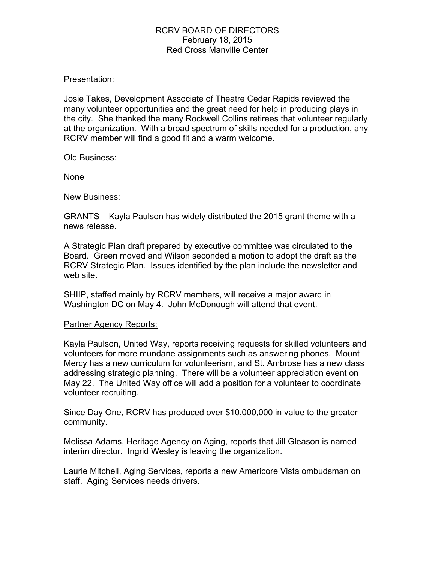# RCRV BOARD OF DIRECTORS February 18, 2015 Red Cross Manville Center

## Presentation:

Josie Takes, Development Associate of Theatre Cedar Rapids reviewed the many volunteer opportunities and the great need for help in producing plays in the city. She thanked the many Rockwell Collins retirees that volunteer regularly at the organization. With a broad spectrum of skills needed for a production, any RCRV member will find a good fit and a warm welcome.

#### Old Business:

None

#### New Business:

GRANTS – Kayla Paulson has widely distributed the 2015 grant theme with a news release.

A Strategic Plan draft prepared by executive committee was circulated to the Board. Green moved and Wilson seconded a motion to adopt the draft as the RCRV Strategic Plan. Issues identified by the plan include the newsletter and web site.

SHIIP, staffed mainly by RCRV members, will receive a major award in Washington DC on May 4. John McDonough will attend that event.

## Partner Agency Reports:

Kayla Paulson, United Way, reports receiving requests for skilled volunteers and volunteers for more mundane assignments such as answering phones. Mount Mercy has a new curriculum for volunteerism, and St. Ambrose has a new class addressing strategic planning. There will be a volunteer appreciation event on May 22. The United Way office will add a position for a volunteer to coordinate volunteer recruiting.

Since Day One, RCRV has produced over \$10,000,000 in value to the greater community.

Melissa Adams, Heritage Agency on Aging, reports that Jill Gleason is named interim director. Ingrid Wesley is leaving the organization.

Laurie Mitchell, Aging Services, reports a new Americore Vista ombudsman on staff. Aging Services needs drivers.